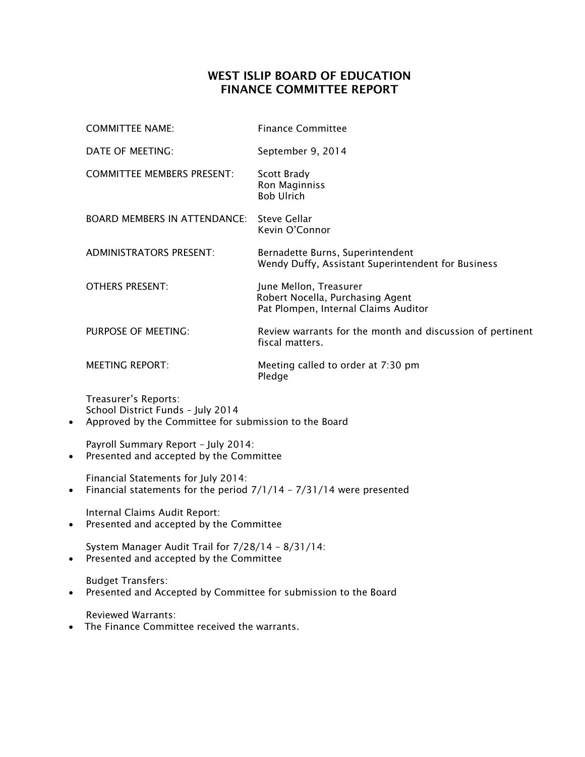## **WEST ISLIP BOARD OF EDUCATION FINANCE COMMITTEE REPORT**

| <b>COMMITTEE NAME:</b>                                    | <b>Finance Committee</b>                                                                           |
|-----------------------------------------------------------|----------------------------------------------------------------------------------------------------|
| DATE OF MEETING:                                          | September 9, 2014                                                                                  |
| <b>COMMITTEE MEMBERS PRESENT:</b>                         | Scott Brady<br>Ron Maginniss<br><b>Bob Ulrich</b>                                                  |
| <b>BOARD MEMBERS IN ATTENDANCE:</b>                       | Steve Gellar<br>Kevin O'Connor                                                                     |
| <b>ADMINISTRATORS PRESENT:</b>                            | Bernadette Burns, Superintendent<br>Wendy Duffy, Assistant Superintendent for Business             |
| <b>OTHERS PRESENT:</b>                                    | June Mellon, Treasurer<br>Robert Nocella, Purchasing Agent<br>Pat Plompen, Internal Claims Auditor |
| PURPOSE OF MEETING:                                       | Review warrants for the month and discussion of pertinent<br>fiscal matters.                       |
| <b>MEETING REPORT:</b>                                    | Meeting called to order at 7:30 pm<br>Pledge                                                       |
| Treasurer's Reports:<br>School District Funds - July 2014 |                                                                                                    |

Approved by the Committee for submission to the Board

Payroll Summary Report – July 2014:

Presented and accepted by the Committee

Financial Statements for July 2014:

• Financial statements for the period  $7/1/14 - 7/31/14$  were presented

Internal Claims Audit Report:

Presented and accepted by the Committee

System Manager Audit Trail for 7/28/14 – 8/31/14:

• Presented and accepted by the Committee

Budget Transfers:

Presented and Accepted by Committee for submission to the Board

Reviewed Warrants:

• The Finance Committee received the warrants.